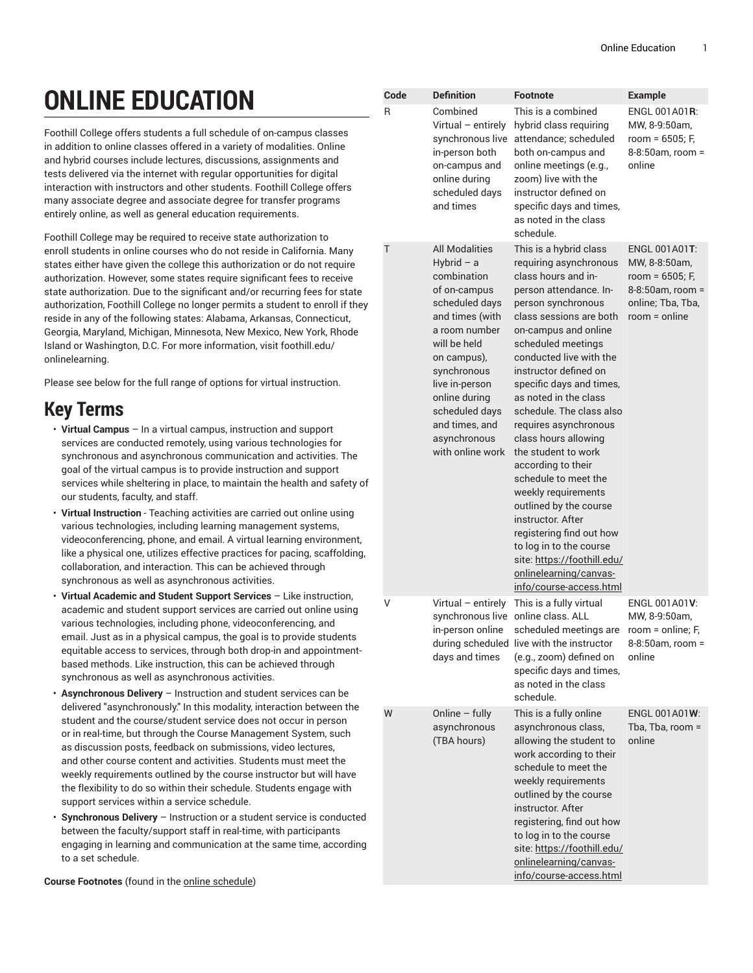## **ONLINE EDUCATION**

Foothill College offers students a full schedule of on-campus classes in addition to online classes offered in a variety of modalities. Online and hybrid courses include lectures, discussions, assignments and tests delivered via the internet with regular opportunities for digital interaction with instructors and other students. Foothill College offers many associate degree and associate degree for transfer programs entirely online, as well as general education requirements.

Foothill College may be required to receive state authorization to enroll students in online courses who do not reside in California. Many states either have given the college this authorization or do not require authorization. However, some states require significant fees to receive state authorization. Due to the significant and/or recurring fees for state authorization, Foothill College no longer permits a student to enroll if they reside in any of the following states: Alabama, Arkansas, Connecticut, Georgia, Maryland, Michigan, Minnesota, New Mexico, New York, Rhode Island or Washington, D.C. For more information, visit foothill.edu/ onlinelearning.

Please see below for the full range of options for virtual instruction.

## **Key Terms**

- **Virtual Campus** In a virtual campus, instruction and support services are conducted remotely, using various technologies for synchronous and asynchronous communication and activities. The goal of the virtual campus is to provide instruction and support services while sheltering in place, to maintain the health and safety of our students, faculty, and staff.
- **Virtual Instruction** Teaching activities are carried out online using various technologies, including learning management systems, videoconferencing, phone, and email. A virtual learning environment, like a physical one, utilizes effective practices for pacing, scaffolding, collaboration, and interaction. This can be achieved through synchronous as well as asynchronous activities.
- **Virtual Academic and Student Support Services** Like instruction, academic and student support services are carried out online using various technologies, including phone, videoconferencing, and email. Just as in a physical campus, the goal is to provide students equitable access to services, through both drop-in and appointmentbased methods. Like instruction, this can be achieved through synchronous as well as asynchronous activities.
- **Asynchronous Delivery** Instruction and student services can be delivered "asynchronously." In this modality, interaction between the student and the course/student service does not occur in person or in real-time, but through the Course Management System, such as discussion posts, feedback on submissions, video lectures, and other course content and activities. Students must meet the weekly requirements outlined by the course instructor but will have the flexibility to do so within their schedule. Students engage with support services within a service schedule.
- **Synchronous Delivery** Instruction or a student service is conducted between the faculty/support staff in real-time, with participants engaging in learning and communication at the same time, according to a set schedule.

**Course Footnotes** (found in the [online schedule\)](https://foothill.edu/schedule/)

|  | R | Combined<br>Virtual - entirely<br>synchronous live<br>in-person both<br>on-campus and<br>online during<br>scheduled days<br>and times                                                                                                                                               | This is a combined<br>hybrid class requiring<br>attendance; scheduled<br>both on-campus and<br>online meetings (e.g.,<br>zoom) live with the<br>instructor defined on<br>specific days and times,<br>as noted in the class<br>schedule.                                                                                                                                                                                                                                                                                                                                                                                                                                      | ENGL 001A01R:<br>MW, 8-9:50am,<br>room = 6505; F,<br>8-8:50am, room =<br>online                               |
|--|---|-------------------------------------------------------------------------------------------------------------------------------------------------------------------------------------------------------------------------------------------------------------------------------------|------------------------------------------------------------------------------------------------------------------------------------------------------------------------------------------------------------------------------------------------------------------------------------------------------------------------------------------------------------------------------------------------------------------------------------------------------------------------------------------------------------------------------------------------------------------------------------------------------------------------------------------------------------------------------|---------------------------------------------------------------------------------------------------------------|
|  | T | <b>All Modalities</b><br>Hybrid $-$ a<br>combination<br>of on-campus<br>scheduled days<br>and times (with<br>a room number<br>will be held<br>on campus),<br>synchronous<br>live in-person<br>online during<br>scheduled days<br>and times, and<br>asynchronous<br>with online work | This is a hybrid class<br>requiring asynchronous<br>class hours and in-<br>person attendance. In-<br>person synchronous<br>class sessions are both<br>on-campus and online<br>scheduled meetings<br>conducted live with the<br>instructor defined on<br>specific days and times,<br>as noted in the class<br>schedule. The class also<br>requires asynchronous<br>class hours allowing<br>the student to work<br>according to their<br>schedule to meet the<br>weekly requirements<br>outlined by the course<br>instructor. After<br>registering find out how<br>to log in to the course<br>site: https://foothill.edu/<br>onlinelearning/canvas-<br>info/course-access.html | ENGL 001A01T:<br>MW, 8-8:50am,<br>room = 6505; F,<br>8-8:50am, room =<br>online; Tba, Tba,<br>$room = online$ |
|  | V | Virtual - entirely<br>synchronous live online class. ALL<br>in-person online<br>days and times                                                                                                                                                                                      | This is a fully virtual<br>scheduled meetings are<br>during scheduled live with the instructor<br>(e.g., zoom) defined on<br>specific days and times,<br>as noted in the class<br>schedule.                                                                                                                                                                                                                                                                                                                                                                                                                                                                                  | ENGL 001A01V:<br>MW, 8-9:50am,<br>room = online; F,<br>8-8:50am, room =<br>online                             |
|  | W | Online - fully<br>asynchronous<br>(TBA hours)                                                                                                                                                                                                                                       | This is a fully online<br>asynchronous class,<br>allowing the student to<br>work according to their<br>schedule to meet the<br>weekly requirements<br>outlined by the course<br>instructor. After<br>registering, find out how<br>to log in to the course<br>site: https://foothill.edu/<br>onlinelearning/canvas-<br>info/course-access.html                                                                                                                                                                                                                                                                                                                                | ENGL 001A01W:<br>Tba, Tba, room =<br>online                                                                   |

**Code Definition Footnote Example**